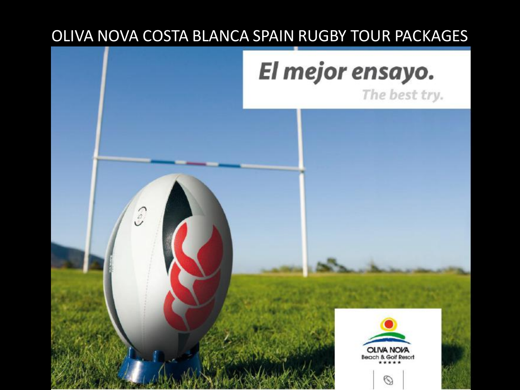## OLIVA NOVA COSTA BLANCA SPAIN RUGBY TOUR PACKAGES

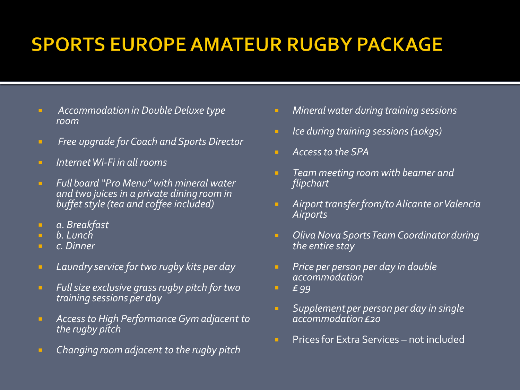## **SPORTS EUROPE AMATEUR RUGBY PACKAGE**

- *Accommodation in Double Deluxe type room*
- *Free upgrade for Coach and Sports Director*
- *Internet Wi-Fi in all rooms*
- *Full board "Pro Menu" with mineral water and two juices in a private dining room in buffet style (tea and coffee included)*
- *a. Breakfast*
- *b. Lunch*
- *c. Dinner*
- *Laundry service for two rugby kits per day*
- *Full size exclusive grass rugby pitch for two training sessions per day*
- *Access to High Performance Gym adjacent to the rugby pitch*
- *Changing room adjacent to the rugby pitch*
- *Mineral water during training sessions*
- *Ice during training sessions (10kgs)*
- *Access to the SPA*
- *Team meeting room with beamer and flipchart*
- *Airport transfer from/to Alicante or Valencia Airports*
- *Oliva Nova Sports Team Coordinator during the entire stay*
- *Price per person per day in double accommodation*
- *£ 99*
- *Supplement per person per day in single accommodation £20*
- **Prices for Extra Services not included**